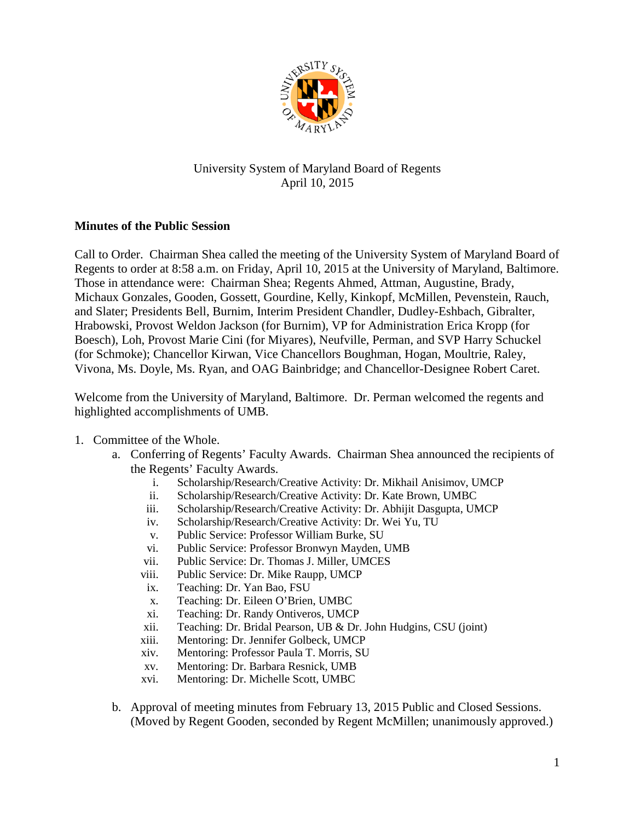

## University System of Maryland Board of Regents April 10, 2015

## **Minutes of the Public Session**

Call to Order. Chairman Shea called the meeting of the University System of Maryland Board of Regents to order at 8:58 a.m. on Friday, April 10, 2015 at the University of Maryland, Baltimore. Those in attendance were: Chairman Shea; Regents Ahmed, Attman, Augustine, Brady, Michaux Gonzales, Gooden, Gossett, Gourdine, Kelly, Kinkopf, McMillen, Pevenstein, Rauch, and Slater; Presidents Bell, Burnim, Interim President Chandler, Dudley-Eshbach, Gibralter, Hrabowski, Provost Weldon Jackson (for Burnim), VP for Administration Erica Kropp (for Boesch), Loh, Provost Marie Cini (for Miyares), Neufville, Perman, and SVP Harry Schuckel (for Schmoke); Chancellor Kirwan, Vice Chancellors Boughman, Hogan, Moultrie, Raley, Vivona, Ms. Doyle, Ms. Ryan, and OAG Bainbridge; and Chancellor-Designee Robert Caret.

Welcome from the University of Maryland, Baltimore. Dr. Perman welcomed the regents and highlighted accomplishments of UMB.

## 1. Committee of the Whole.

- a. Conferring of Regents' Faculty Awards. Chairman Shea announced the recipients of the Regents' Faculty Awards.
	- i. Scholarship/Research/Creative Activity: Dr. Mikhail Anisimov, UMCP
	- ii. Scholarship/Research/Creative Activity: Dr. Kate Brown, UMBC
	- iii. Scholarship/Research/Creative Activity: Dr. Abhijit Dasgupta, UMCP
	- iv. Scholarship/Research/Creative Activity: Dr. Wei Yu, TU
	- v. Public Service: Professor William Burke, SU
	- vi. Public Service: Professor Bronwyn Mayden, UMB
	- vii. Public Service: Dr. Thomas J. Miller, UMCES
	- viii. Public Service: Dr. Mike Raupp, UMCP
	- ix. Teaching: Dr. Yan Bao, FSU
	- x. Teaching: Dr. Eileen O'Brien, UMBC
	- xi. Teaching: Dr. Randy Ontiveros, UMCP
	- xii. Teaching: Dr. Bridal Pearson, UB & Dr. John Hudgins, CSU (joint)
	- xiii. Mentoring: Dr. Jennifer Golbeck, UMCP
	- xiv. Mentoring: Professor Paula T. Morris, SU
	- xv. Mentoring: Dr. Barbara Resnick, UMB
	- xvi. Mentoring: Dr. Michelle Scott, UMBC
- b. Approval of meeting minutes from February 13, 2015 Public and Closed Sessions. (Moved by Regent Gooden, seconded by Regent McMillen; unanimously approved.)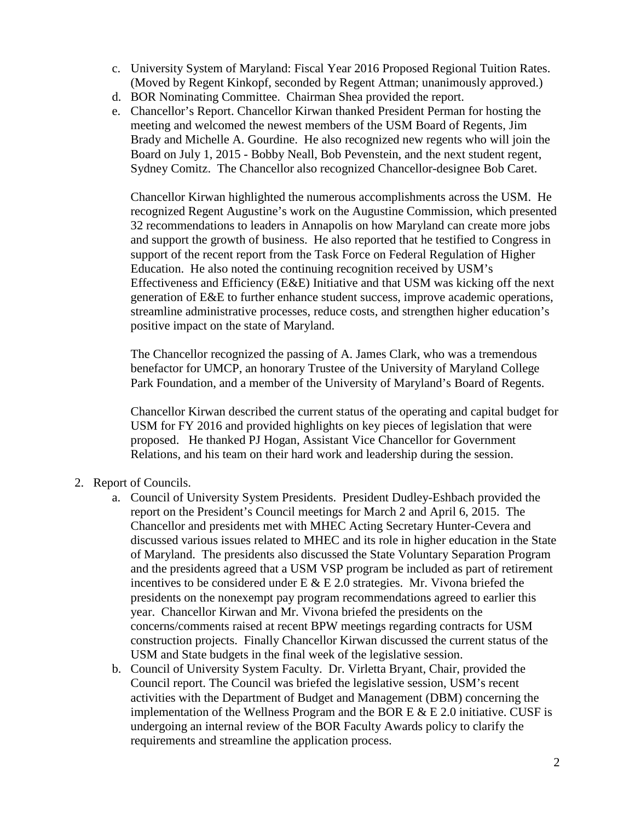- c. University System of Maryland: Fiscal Year 2016 Proposed Regional Tuition Rates. (Moved by Regent Kinkopf, seconded by Regent Attman; unanimously approved.)
- d. BOR Nominating Committee. Chairman Shea provided the report.
- e. Chancellor's Report. Chancellor Kirwan thanked President Perman for hosting the meeting and welcomed the newest members of the USM Board of Regents, Jim Brady and Michelle A. Gourdine. He also recognized new regents who will join the Board on July 1, 2015 - Bobby Neall, Bob Pevenstein, and the next student regent, Sydney Comitz. The Chancellor also recognized Chancellor-designee Bob Caret.

Chancellor Kirwan highlighted the numerous accomplishments across the USM. He recognized Regent Augustine's work on the Augustine Commission, which presented 32 recommendations to leaders in Annapolis on how Maryland can create more jobs and support the growth of business. He also reported that he testified to Congress in support of the recent report from the Task Force on Federal Regulation of Higher Education. He also noted the continuing recognition received by USM's Effectiveness and Efficiency (E&E) Initiative and that USM was kicking off the next generation of E&E to further enhance student success, improve academic operations, streamline administrative processes, reduce costs, and strengthen higher education's positive impact on the state of Maryland.

The Chancellor recognized the passing of A. James Clark, who was a tremendous benefactor for UMCP, an honorary Trustee of the University of Maryland College Park Foundation, and a member of the University of Maryland's Board of Regents.

Chancellor Kirwan described the current status of the operating and capital budget for USM for FY 2016 and provided highlights on key pieces of legislation that were proposed. He thanked PJ Hogan, Assistant Vice Chancellor for Government Relations, and his team on their hard work and leadership during the session.

- 2. Report of Councils.
	- a. Council of University System Presidents. President Dudley-Eshbach provided the report on the President's Council meetings for March 2 and April 6, 2015. The Chancellor and presidents met with MHEC Acting Secretary Hunter-Cevera and discussed various issues related to MHEC and its role in higher education in the State of Maryland. The presidents also discussed the State Voluntary Separation Program and the presidents agreed that a USM VSP program be included as part of retirement incentives to be considered under  $E \& E 2.0$  strategies. Mr. Vivona briefed the presidents on the nonexempt pay program recommendations agreed to earlier this year. Chancellor Kirwan and Mr. Vivona briefed the presidents on the concerns/comments raised at recent BPW meetings regarding contracts for USM construction projects. Finally Chancellor Kirwan discussed the current status of the USM and State budgets in the final week of the legislative session.
	- b. Council of University System Faculty. Dr. Virletta Bryant, Chair, provided the Council report. The Council was briefed the legislative session, USM's recent activities with the Department of Budget and Management (DBM) concerning the implementation of the Wellness Program and the BOR E  $&$  E 2.0 initiative. CUSF is undergoing an internal review of the BOR Faculty Awards policy to clarify the requirements and streamline the application process.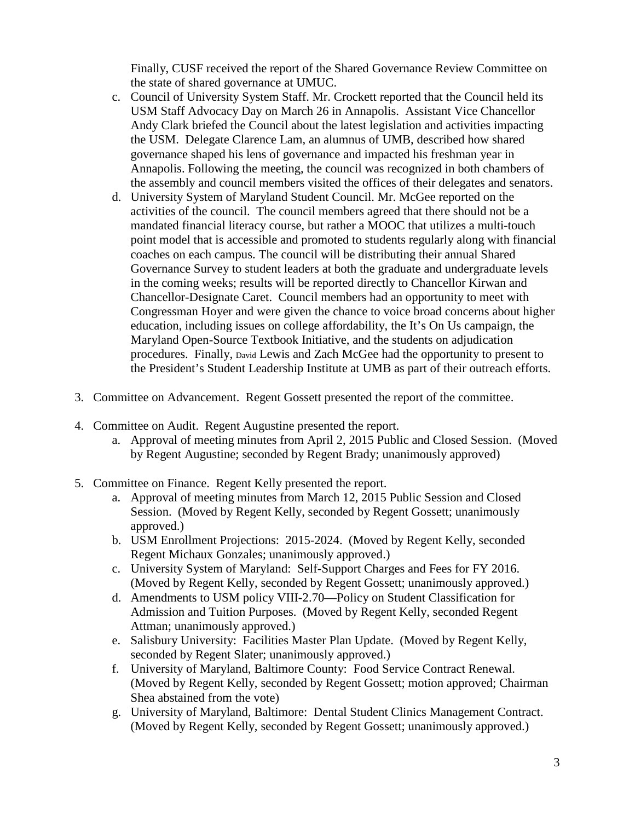Finally, CUSF received the report of the Shared Governance Review Committee on the state of shared governance at UMUC.

- c. Council of University System Staff. Mr. Crockett reported that the Council held its USM Staff Advocacy Day on March 26 in Annapolis. Assistant Vice Chancellor Andy Clark briefed the Council about the latest legislation and activities impacting the USM. Delegate Clarence Lam, an alumnus of UMB, described how shared governance shaped his lens of governance and impacted his freshman year in Annapolis. Following the meeting, the council was recognized in both chambers of the assembly and council members visited the offices of their delegates and senators.
- d. University System of Maryland Student Council. Mr. McGee reported on the activities of the council. The council members agreed that there should not be a mandated financial literacy course, but rather a MOOC that utilizes a multi-touch point model that is accessible and promoted to students regularly along with financial coaches on each campus. The council will be distributing their annual Shared Governance Survey to student leaders at both the graduate and undergraduate levels in the coming weeks; results will be reported directly to Chancellor Kirwan and Chancellor-Designate Caret. Council members had an opportunity to meet with Congressman Hoyer and were given the chance to voice broad concerns about higher education, including issues on college affordability, the It's On Us campaign, the Maryland Open-Source Textbook Initiative, and the students on adjudication procedures. Finally, David Lewis and Zach McGee had the opportunity to present to the President's Student Leadership Institute at UMB as part of their outreach efforts.
- 3. Committee on Advancement. Regent Gossett presented the report of the committee.
- 4. Committee on Audit. Regent Augustine presented the report.
	- a. Approval of meeting minutes from April 2, 2015 Public and Closed Session. (Moved by Regent Augustine; seconded by Regent Brady; unanimously approved)
- 5. Committee on Finance. Regent Kelly presented the report.
	- a. Approval of meeting minutes from March 12, 2015 Public Session and Closed Session. (Moved by Regent Kelly, seconded by Regent Gossett; unanimously approved.)
	- b. USM Enrollment Projections: 2015-2024. (Moved by Regent Kelly, seconded Regent Michaux Gonzales; unanimously approved.)
	- c. University System of Maryland: Self-Support Charges and Fees for FY 2016. (Moved by Regent Kelly, seconded by Regent Gossett; unanimously approved.)
	- d. Amendments to USM policy VIII-2.70—Policy on Student Classification for Admission and Tuition Purposes. (Moved by Regent Kelly, seconded Regent Attman; unanimously approved.)
	- e. Salisbury University: Facilities Master Plan Update. (Moved by Regent Kelly, seconded by Regent Slater; unanimously approved.)
	- f. University of Maryland, Baltimore County: Food Service Contract Renewal. (Moved by Regent Kelly, seconded by Regent Gossett; motion approved; Chairman Shea abstained from the vote)
	- g. University of Maryland, Baltimore: Dental Student Clinics Management Contract. (Moved by Regent Kelly, seconded by Regent Gossett; unanimously approved.)